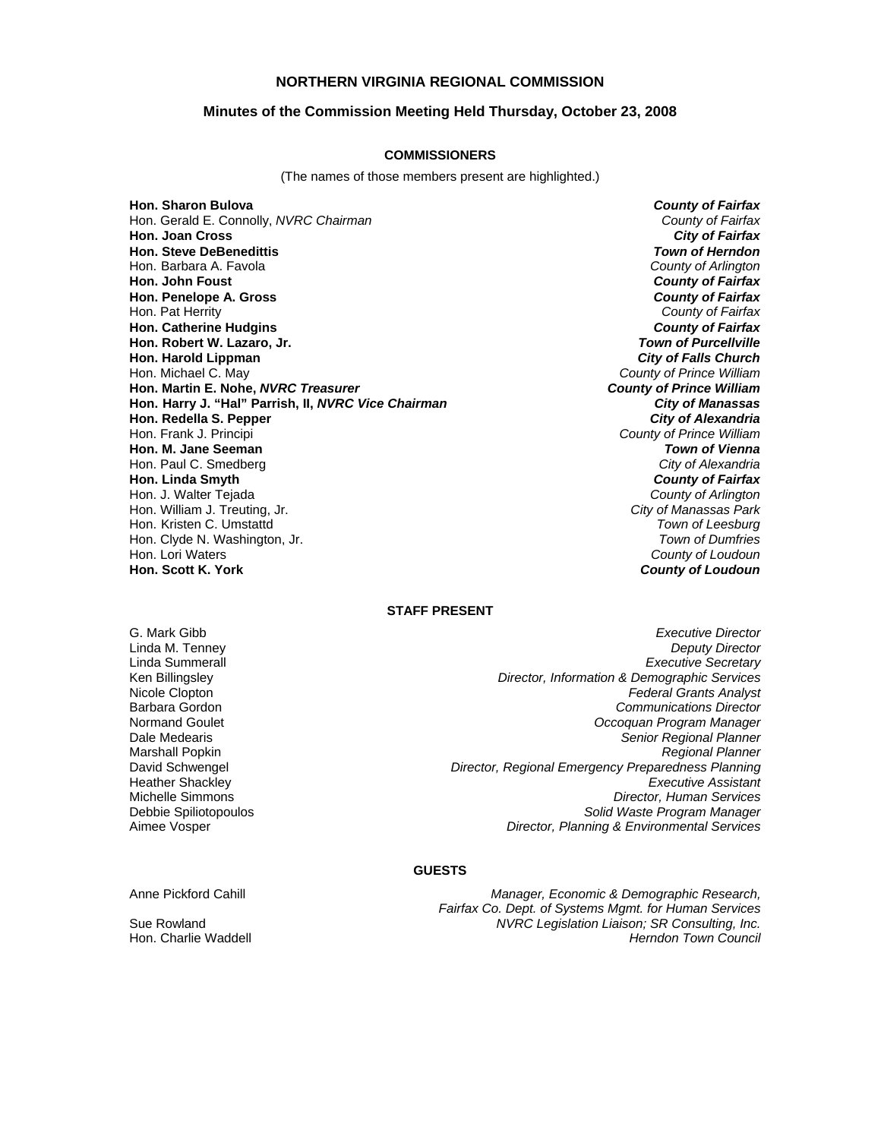### **NORTHERN VIRGINIA REGIONAL COMMISSION**

#### **Minutes of the Commission Meeting Held Thursday, October 23, 2008**

#### **COMMISSIONERS**

(The names of those members present are highlighted.)

**Hon. Sharon Bulova** *County of Fairfax* Hon. Gerald E. Connolly, *NVRC Chairman County of Fairfax* **Hon. Joan Cross Hon. Steve DeBenedittis** *Town of Herndon* Hon. Barbara A. Favola *County of Arlington* **Hon. John Foust** *County of Fairfax* **Hon. Penelope A. Gross** *County of Fairfax* Hon. Pat Herrity *County of Fairfax* **Hon. Catherine Hudgins** *County of Fairfax* **Hon. Robert W. Lazaro, Jr.** *Town of Purcellville* **Hon. Harold Lippman**<br>**Hon. Michael C. May Hon. Martin E. Nohe,** *NVRC Treasurer County of Prince William* **Hon. Harry J. "Hal" Parrish, II, NVRC Vice Chairman Hon. Redella S. Pepper** *City of Alexandria* Hon. Frank J. Principi *County of Prince William* **Hon. M. Jane Seeman** *Town of Vienna* Hon. Paul C. Smedberg *City of Alexandria* **Hon. Linda Smyth** *County of Fairfax* Hon. J. Walter Tejada *County of Arlington* Hon. William J. Treuting, Jr. Hon. Kristen C. Umstattd *Town of Leesburg* Hon. Clyde N. Washington, Jr. *Town of Dumfries* Hon. Lori Waters *County of Loudoun*

**County of Prince William**<br>**County of Prince William County of Loudoun** 

#### **STAFF PRESENT**

G. Mark Gibb *Executive Director* Linda M. Tenney *Deputy Director* Linda Summerall *Executive Secretary* Ken Billingsley *Director, Information & Demographic Services* Nicole Clopton *Federal Grants Analyst* Barbara Gordon *Communications Director* Normand Goulet *Occoquan Program Manager* Dale Medearis *Senior Regional Planner* Marshall Popkin *Regional Planner* David Schwengel *Director, Regional Emergency Preparedness Planning* Heather Shackley *Executive Assistant* Michelle Simmons *Director, Human Services* Debbie Spiliotopoulos *Solid Waste Program Manager* Aimee Vosper *Director, Planning & Environmental Services*

### **GUESTS**

Anne Pickford Cahill *Manager, Economic & Demographic Research, Fairfax Co. Dept. of Systems Mgmt. for Human Services* Sue Rowland *NVRC Legislation Liaison; SR Consulting, Inc.* Hon. Charlie Waddell *Herndon Town Council*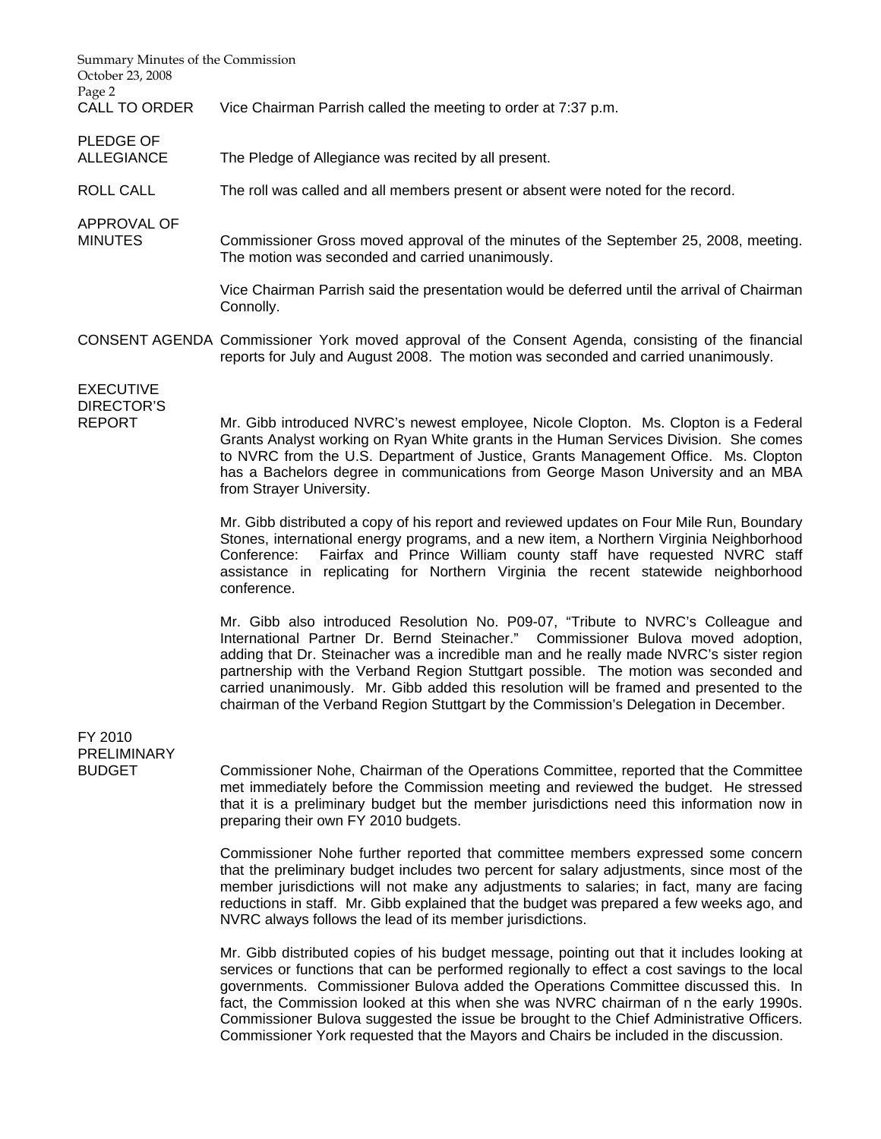| Summary Minutes of the Commission<br>October 23, 2008  |                                                                                                                                                                                                                                                                                                                                                                                                                                                                                                                                           |
|--------------------------------------------------------|-------------------------------------------------------------------------------------------------------------------------------------------------------------------------------------------------------------------------------------------------------------------------------------------------------------------------------------------------------------------------------------------------------------------------------------------------------------------------------------------------------------------------------------------|
| Page 2<br><b>CALL TO ORDER</b>                         | Vice Chairman Parrish called the meeting to order at 7:37 p.m.                                                                                                                                                                                                                                                                                                                                                                                                                                                                            |
| PLEDGE OF<br><b>ALLEGIANCE</b>                         | The Pledge of Allegiance was recited by all present.                                                                                                                                                                                                                                                                                                                                                                                                                                                                                      |
| <b>ROLL CALL</b>                                       | The roll was called and all members present or absent were noted for the record.                                                                                                                                                                                                                                                                                                                                                                                                                                                          |
| APPROVAL OF<br><b>MINUTES</b>                          | Commissioner Gross moved approval of the minutes of the September 25, 2008, meeting.<br>The motion was seconded and carried unanimously.                                                                                                                                                                                                                                                                                                                                                                                                  |
|                                                        | Vice Chairman Parrish said the presentation would be deferred until the arrival of Chairman<br>Connolly.                                                                                                                                                                                                                                                                                                                                                                                                                                  |
|                                                        | CONSENT AGENDA Commissioner York moved approval of the Consent Agenda, consisting of the financial<br>reports for July and August 2008. The motion was seconded and carried unanimously.                                                                                                                                                                                                                                                                                                                                                  |
| <b>EXECUTIVE</b><br><b>DIRECTOR'S</b><br><b>REPORT</b> | Mr. Gibb introduced NVRC's newest employee, Nicole Clopton. Ms. Clopton is a Federal<br>Grants Analyst working on Ryan White grants in the Human Services Division. She comes<br>to NVRC from the U.S. Department of Justice, Grants Management Office. Ms. Clopton<br>has a Bachelors degree in communications from George Mason University and an MBA<br>from Strayer University.                                                                                                                                                       |
|                                                        | Mr. Gibb distributed a copy of his report and reviewed updates on Four Mile Run, Boundary<br>Stones, international energy programs, and a new item, a Northern Virginia Neighborhood<br>Fairfax and Prince William county staff have requested NVRC staff<br>Conference:<br>assistance in replicating for Northern Virginia the recent statewide neighborhood<br>conference.                                                                                                                                                              |
|                                                        | Mr. Gibb also introduced Resolution No. P09-07, "Tribute to NVRC's Colleague and<br>International Partner Dr. Bernd Steinacher." Commissioner Bulova moved adoption,<br>adding that Dr. Steinacher was a incredible man and he really made NVRC's sister region<br>partnership with the Verband Region Stuttgart possible. The motion was seconded and<br>carried unanimously. Mr. Gibb added this resolution will be framed and presented to the<br>chairman of the Verband Region Stuttgart by the Commission's Delegation in December. |
| FY 2010                                                |                                                                                                                                                                                                                                                                                                                                                                                                                                                                                                                                           |
| PRELIMINARY<br><b>BUDGET</b>                           | Commissioner Nohe, Chairman of the Operations Committee, reported that the Committee<br>met immediately before the Commission meeting and reviewed the budget. He stressed<br>that it is a preliminary budget but the member jurisdictions need this information now in<br>preparing their own FY 2010 budgets.                                                                                                                                                                                                                           |
|                                                        | Commissioner Nohe further reported that committee members expressed some concern<br>that the preliminary budget includes two percent for salary adjustments, since most of the<br>member jurisdictions will not make any adjustments to salaries; in fact, many are facing<br>reductions in staff. Mr. Gibb explained that the budget was prepared a few weeks ago, and<br>NVRC always follows the lead of its member jurisdictions.                                                                                                      |
|                                                        | Mr. Gibb distributed copies of his budget message, pointing out that it includes looking at<br>services or functions that can be performed regionally to effect a cost savings to the local<br>governments. Commissioner Bulova added the Operations Committee discussed this. In<br>fact, the Commission looked at this when she was NVRC chairman of n the early 1990s.<br>Commissioner Bulova suggested the issue be brought to the Chief Administrative Officers.                                                                     |

Commissioner York requested that the Mayors and Chairs be included in the discussion.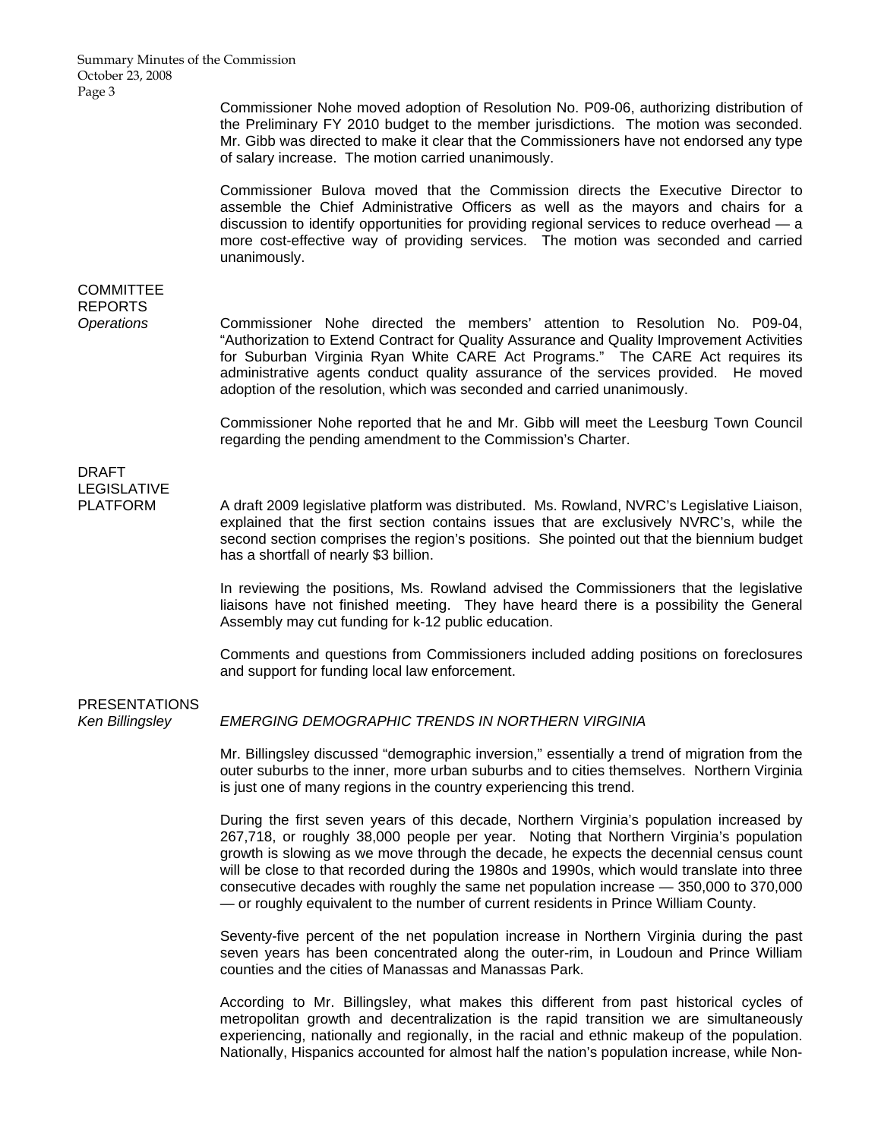Commissioner Nohe moved adoption of Resolution No. P09-06, authorizing distribution of the Preliminary FY 2010 budget to the member jurisdictions. The motion was seconded. Mr. Gibb was directed to make it clear that the Commissioners have not endorsed any type of salary increase. The motion carried unanimously.

 Commissioner Bulova moved that the Commission directs the Executive Director to assemble the Chief Administrative Officers as well as the mayors and chairs for a discussion to identify opportunities for providing regional services to reduce overhead — a more cost-effective way of providing services. The motion was seconded and carried unanimously.

## **COMMITTEE** REPORTS

*Operations* Commissioner Nohe directed the members' attention to Resolution No. P09-04, "Authorization to Extend Contract for Quality Assurance and Quality Improvement Activities for Suburban Virginia Ryan White CARE Act Programs." The CARE Act requires its administrative agents conduct quality assurance of the services provided. He moved adoption of the resolution, which was seconded and carried unanimously.

> Commissioner Nohe reported that he and Mr. Gibb will meet the Leesburg Town Council regarding the pending amendment to the Commission's Charter.

# DRAFT LEGISLATIVE

PLATFORM A draft 2009 legislative platform was distributed. Ms. Rowland, NVRC's Legislative Liaison, explained that the first section contains issues that are exclusively NVRC's, while the second section comprises the region's positions. She pointed out that the biennium budget has a shortfall of nearly \$3 billion.

> In reviewing the positions, Ms. Rowland advised the Commissioners that the legislative liaisons have not finished meeting. They have heard there is a possibility the General Assembly may cut funding for k-12 public education.

> Comments and questions from Commissioners included adding positions on foreclosures and support for funding local law enforcement.

# PRESENTATIONS

*Ken Billingsley EMERGING DEMOGRAPHIC TRENDS IN NORTHERN VIRGINIA*

Mr. Billingsley discussed "demographic inversion," essentially a trend of migration from the outer suburbs to the inner, more urban suburbs and to cities themselves. Northern Virginia is just one of many regions in the country experiencing this trend.

During the first seven years of this decade, Northern Virginia's population increased by 267,718, or roughly 38,000 people per year. Noting that Northern Virginia's population growth is slowing as we move through the decade, he expects the decennial census count will be close to that recorded during the 1980s and 1990s, which would translate into three consecutive decades with roughly the same net population increase — 350,000 to 370,000 — or roughly equivalent to the number of current residents in Prince William County.

Seventy-five percent of the net population increase in Northern Virginia during the past seven years has been concentrated along the outer-rim, in Loudoun and Prince William counties and the cities of Manassas and Manassas Park.

According to Mr. Billingsley, what makes this different from past historical cycles of metropolitan growth and decentralization is the rapid transition we are simultaneously experiencing, nationally and regionally, in the racial and ethnic makeup of the population. Nationally, Hispanics accounted for almost half the nation's population increase, while Non